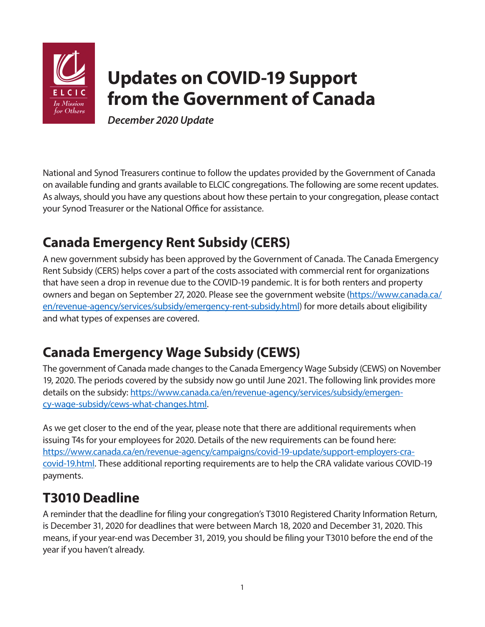

# **Updates on COVID-19 Support from the Government of Canada**

*December 2020 Update* 

National and Synod Treasurers continue to follow the updates provided by the Government of Canada on available funding and grants available to ELCIC congregations. The following are some recent updates. As always, should you have any questions about how these pertain to your congregation, please contact your Synod Treasurer or the National Office for assistance.

#### **Canada Emergency Rent Subsidy (CERS)**

A new government subsidy has been approved by the Government of Canada. The Canada Emergency Rent Subsidy (CERS) helps cover a part of the costs associated with commercial rent for organizations that have seen a drop in revenue due to the COVID-19 pandemic. It is for both renters and property owners and began on September 27, 2020. Please see the government website [\(https://www.canada.ca/](https://www.canada.ca/en/revenue-agency/services/subsidy/emergency-rent-subsidy.html) [en/revenue-agency/services/subsidy/emergency-rent-subsidy.html](https://www.canada.ca/en/revenue-agency/services/subsidy/emergency-rent-subsidy.html)) for more details about eligibility and what types of expenses are covered.

## **Canada Emergency Wage Subsidy (CEWS)**

The government of Canada made changes to the Canada Emergency Wage Subsidy (CEWS) on November 19, 2020. The periods covered by the subsidy now go until June 2021. The following link provides more details on the subsidy: [https://www.canada.ca/en/revenue-agency/services/subsidy/emergen](https://www.canada.ca/en/revenue-agency/services/subsidy/emergency-wage-subsidy/cews-what-changes.html)[cy-wage-subsidy/cews-what-changes.html](https://www.canada.ca/en/revenue-agency/services/subsidy/emergency-wage-subsidy/cews-what-changes.html).

As we get closer to the end of the year, please note that there are additional requirements when issuing T4s for your employees for 2020. Details of the new requirements can be found here: [https://www.canada.ca/en/revenue-agency/campaigns/covid-19-update/support-employers-cra](https://www.canada.ca/en/revenue-agency/campaigns/covid-19-update/support-employers-cra-covid-19.html)[covid-19.html](https://www.canada.ca/en/revenue-agency/campaigns/covid-19-update/support-employers-cra-covid-19.html). These additional reporting requirements are to help the CRA validate various COVID-19 payments.

#### **T3010 Deadline**

A reminder that the deadline for filing your congregation's T3010 Registered Charity Information Return, is December 31, 2020 for deadlines that were between March 18, 2020 and December 31, 2020. This means, if your year-end was December 31, 2019, you should be filing your T3010 before the end of the year if you haven't already.